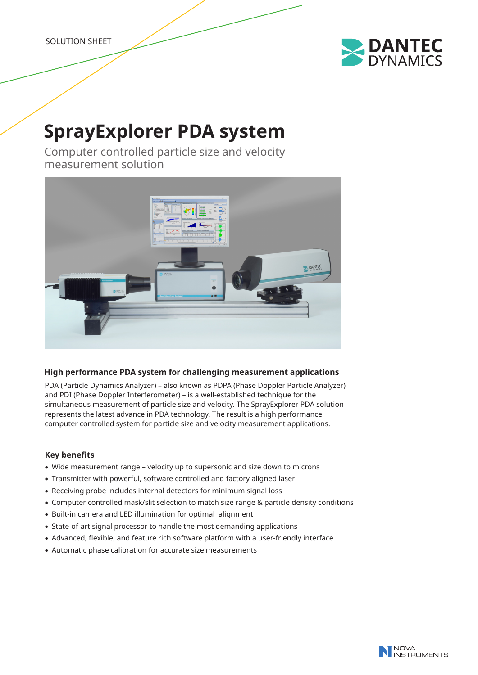SOLUTION SHEET



# **SprayExplorer PDA system**

Computer controlled particle size and velocity measurement solution



# **High performance PDA system for challenging measurement applications**

PDA (Particle Dynamics Analyzer) – also known as PDPA (Phase Doppler Particle Analyzer) and PDI (Phase Doppler Interferometer) – is a well-established technique for the simultaneous measurement of particle size and velocity. The SprayExplorer PDA solution represents the latest advance in PDA technology. The result is a high performance computer controlled system for particle size and velocity measurement applications.

# **Key benefits**

- Wide measurement range velocity up to supersonic and size down to microns
- Transmitter with powerful, software controlled and factory aligned laser
- Receiving probe includes internal detectors for minimum signal loss
- • Computer controlled mask/slit selection to match size range & particle density conditions
- Built-in camera and LED illumination for optimal alignment
- State-of-art signal processor to handle the most demanding applications
- Advanced, flexible, and feature rich software platform with a user-friendly interface
- Automatic phase calibration for accurate size measurements

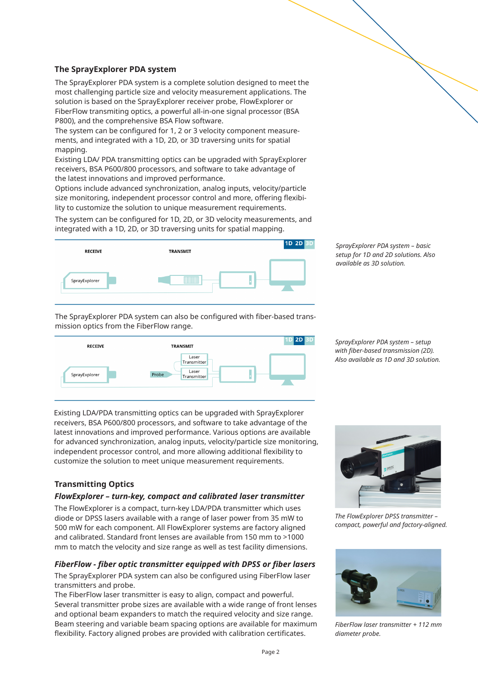# **The SprayExplorer PDA system**

The SprayExplorer PDA system is a complete solution designed to meet the most challenging particle size and velocity measurement applications. The solution is based on the SprayExplorer receiver probe, FlowExplorer or FiberFlow transmiting optics, a powerful all-in-one signal processor (BSA P800), and the comprehensive BSA Flow software.

The system can be configured for 1, 2 or 3 velocity component measurements, and integrated with a 1D, 2D, or 3D traversing units for spatial mapping.

Existing LDA/ PDA transmitting optics can be upgraded with SprayExplorer receivers, BSA P600/800 processors, and software to take advantage of the latest innovations and improved performance.

Options include advanced synchronization, analog inputs, velocity/particle size monitoring, independent processor control and more, offering flexibility to customize the solution to unique measurement requirements.

The system can be configured for 1D, 2D, or 3D velocity measurements, and integrated with a 1D, 2D, or 3D traversing units for spatial mapping.



*SprayExplorer PDA system – basic setup for 1D and 2D solutions. Also available as 3D solution.*

The SprayExplorer PDA system can also be configured with fiber-based transmission optics from the FiberFlow range.



*SprayExplorer PDA system – setup with fiber-based transmission (2D). Also available as 1D and 3D solution.*

Existing LDA/PDA transmitting optics can be upgraded with SprayExplorer receivers, BSA P600/800 processors, and software to take advantage of the latest innovations and improved performance. Various options are available for advanced synchronization, analog inputs, velocity/particle size monitoring, independent processor control, and more allowing additional flexibility to customize the solution to meet unique measurement requirements.

# **Transmitting Optics**

#### *FlowExplorer – turn-key, compact and calibrated laser transmitter*

The FlowExplorer is a compact, turn-key LDA/PDA transmitter which uses diode or DPSS lasers available with a range of laser power from 35 mW to 500 mW for each component. All FlowExplorer systems are factory aligned and calibrated. Standard front lenses are available from 150 mm to >1000 mm to match the velocity and size range as well as test facility dimensions.

#### *FiberFlow - fiber optic transmitter equipped with DPSS or fiber lasers*

The SprayExplorer PDA system can also be configured using FiberFlow laser transmitters and probe.

The FiberFlow laser transmitter is easy to align, compact and powerful. Several transmitter probe sizes are available with a wide range of front lenses and optional beam expanders to match the required velocity and size range. Beam steering and variable beam spacing options are available for maximum flexibility. Factory aligned probes are provided with calibration certificates.



*The FlowExplorer DPSS transmitter – compact, powerful and factory-aligned.*



*FiberFlow laser transmitter + 112 mm diameter probe.*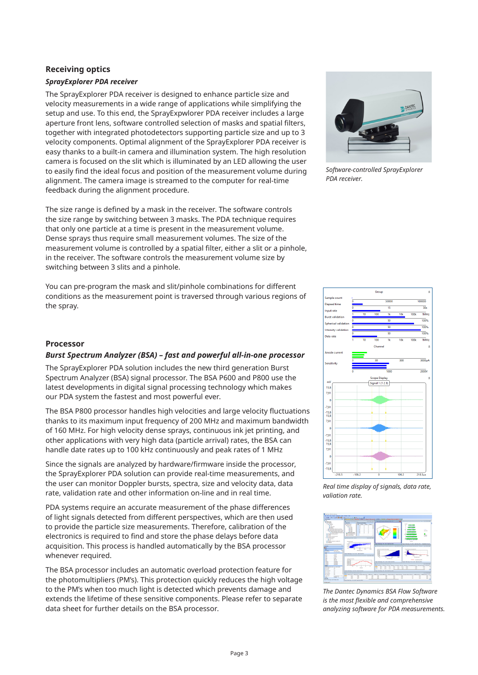# **Receiving optics** *SprayExplorer PDA receiver*

The SprayExplorer PDA receiver is designed to enhance particle size and velocity measurements in a wide range of applications while simplifying the setup and use. To this end, the SprayExpwlorer PDA receiver includes a large aperture front lens, software controlled selection of masks and spatial filters, together with integrated photodetectors supporting particle size and up to 3 velocity components. Optimal alignment of the SprayExplorer PDA receiver is easy thanks to a built-in camera and illumination system. The high resolution camera is focused on the slit which is illuminated by an LED allowing the user to easily find the ideal focus and position of the measurement volume during alignment. The camera image is streamed to the computer for real-time feedback during the alignment procedure.

The size range is defined by a mask in the receiver. The software controls the size range by switching between 3 masks. The PDA technique requires that only one particle at a time is present in the measurement volume. Dense sprays thus require small measurement volumes. The size of the measurement volume is controlled by a spatial filter, either a slit or a pinhole, in the receiver. The software controls the measurement volume size by switching between 3 slits and a pinhole.

You can pre-program the mask and slit/pinhole combinations for different conditions as the measurement point is traversed through various regions of the spray.

#### **Processor**

#### *Burst Spectrum Analyzer (BSA) – fast and powerful all-in-one processor*

The SprayExplorer PDA solution includes the new third generation Burst Spectrum Analyzer (BSA) signal processor. The BSA P600 and P800 use the latest developments in digital signal processing technology which makes our PDA system the fastest and most powerful ever.

The BSA P800 processor handles high velocities and large velocity fluctuations thanks to its maximum input frequency of 200 MHz and maximum bandwidth of 160 MHz. For high velocity dense sprays, continuous ink jet printing, and other applications with very high data (particle arrival) rates, the BSA can handle date rates up to 100 kHz continuously and peak rates of 1 MHz

Since the signals are analyzed by hardware/firmware inside the processor, the SprayExplorer PDA solution can provide real-time measurements, and the user can monitor Doppler bursts, spectra, size and velocity data, data rate, validation rate and other information on-line and in real time.

PDA systems require an accurate measurement of the phase differences of light signals detected from different perspectives, which are then used to provide the particle size measurements. Therefore, calibration of the electronics is required to find and store the phase delays before data acquisition. This process is handled automatically by the BSA processor whenever required.

The BSA processor includes an automatic overload protection feature for the photomultipliers (PM's). This protection quickly reduces the high voltage to the PM's when too much light is detected which prevents damage and extends the lifetime of these sensitive components. Please refer to separate data sheet for further details on the BSA processor.



*Software-controlled SprayExplorer PDA receiver.*



*Real time display of signals, data rate, valiation rate.*



*The Dantec Dynamics BSA Flow Software is the most flexible and comprehensive analyzing software for PDA measurements.*